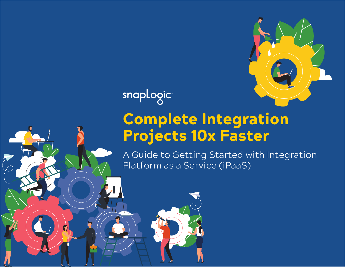

snapLogic

 $\frac{1}{2}$   $\frac{1}{2}$   $\frac{1}{2}$   $\frac{1}{2}$   $\frac{1}{2}$   $\frac{1}{2}$ 

# Complete Integration Projects 10x Faster

A Guide to Getting Started with Integration Platform as a Service (iPaaS)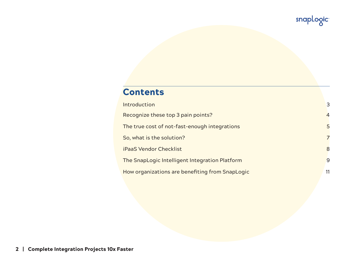# **Contents**

| Introduction                                    | 3              |
|-------------------------------------------------|----------------|
| Recognize these top 3 pain points?              | $\overline{4}$ |
| The true cost of not-fast-enough integrations   | 5              |
| So, what is the solution?                       | $\overline{7}$ |
| <b>iPaaS Vendor Checklist</b>                   | 8              |
| The SnapLogic Intelligent Integration Platform  | 9              |
| How organizations are benefiting from SnapLogic | 11             |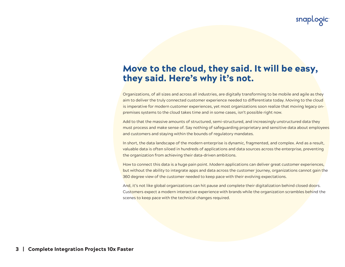# Move to the cloud, they said. It will be easy, they said. Here's why it's not.

Organizations, of all sizes and across all industries, are digitally transforming to be mobile and agile as they aim to deliver the truly connected customer experience needed to differentiate today. Moving to the cloud is imperative for modern customer experiences, yet most organizations soon realize that moving legacy onpremises systems to the cloud takes time and in some cases, isn't possible right now.

Add to that the massive amounts of structured, semi-structured, and increasingly unstructured data they must process and make sense of. Say nothing of safeguarding proprietary and sensitive data about employees and customers and staying within the bounds of regulatory mandates.

In short, the data landscape of the modern enterprise is dynamic, fragmented, and complex. And as a result, valuable data is often siloed in hundreds of applications and data sources across the enterprise, preventing the organization from achieving their data-driven ambitions.

How to connect this data is a huge pain point. Modern applications can deliver great customer experiences, but without the ability to integrate apps and data across the customer journey, organizations cannot gain the 360 degree view of the customer needed to keep pace with their evolving expectations.

And, it's not like global organizations can hit pause and complete their digitalization behind closed doors. Customers expect a modern interactive experience with brands while the organization scrambles behind the scenes to keep pace with the technical changes required.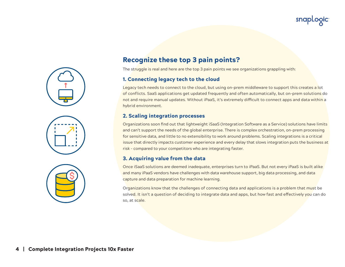







### Recognize these top 3 pain points?

The struggle is real and here are the top 3 pain points we see organizations grappling with:

#### 1. Connecting legacy tech to the cloud

Legacy tech needs to connect to the cloud, but using on-prem middleware to support this creates a lot of conflicts. SaaS applications get updated frequently and often automatically, but on-prem solutions do not and require manual updates. Without iPaaS, it's extremely difficult to connect apps and data within a hybrid environment.

#### 2. Scaling integration processes

Organizations soon find out that lightweight iSaaS (Integration Software as a Service) solutions have limits and can't support the needs of the global enterprise. There is complex orchestration, on-prem processing for sensitive data, and little to no extensibility to work around problems. Scaling integrations is a critical issue that directly impacts customer experience and every delay that slows integration puts the business at risk – compared to your competitors who are integrating faster.

#### 3. Acquiring value from the data

Once iSaaS solutions are deemed inadequate, enterprises turn to iPaaS. But not every iPaaS is built alike and many iPaaS vendors have challenges with data warehouse support, big data processing, and data capture and data preparation for machine learning.

Organizations know that the challenges of connecting data and applications is a problem that must be solved. It isn't a question of deciding to integrate data and apps, but how fast and effectively you can do so, at scale.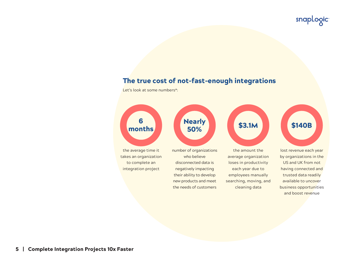### The true cost of not-fast-enough integrations

Let's look at some numbers\*:

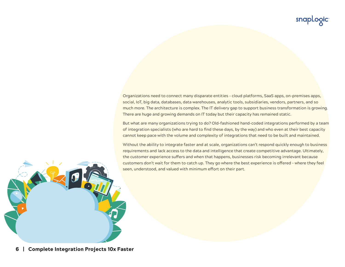Organizations need to connect many disparate entities – cloud platforms, SaaS apps, on-premises apps, social, IoT, big data, databases, data warehouses, analytic tools, subsidiaries, vendors, partners, and so much more. The architecture is complex. The IT delivery gap to support business transformation is growing. There are huge and growing demands on IT today but their capacity has remained static.

But what are many organizations trying to do? Old-fashioned hand-coded integrations performed by a team of integration specialists (who are hard to find these days, by the way) and who even at their best capacity cannot keep pace with the volume and complexity of integrations that need to be built and maintained.

Without the ability to integrate faster and at scale, organizations can't respond quickly enough to business requirements and lack access to the data and intelligence that create competitive advantage. Ultimately, the customer experience suffers and when that happens, businesses risk becoming irrelevant because customers don't wait for them to catch up. They go where the best experience is offered – where they feel seen, understood, and valued with minimum effort on their part.

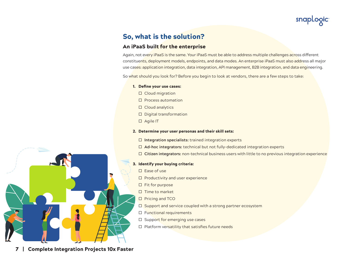

# So, what is the solution?

#### An iPaaS built for the enterprise

Again, not every iPaaS is the same. Your iPaaS must be able to address multiple challenges across different constituents, deployment models, endpoints, and data modes. An enterprise iPaaS must also address all major use cases: application integration, data integration, API management, B2B integration, and data engineering.

So what should you look for? Before you begin to look at vendors, there are a few steps to take:

#### 1. Define your use cases:

- $\square$  Cloud migration
- $\square$  Process automation
- □ Cloud analytics
- Digital transformation
- Agile IT

#### 2. Determine your user personas and their skill sets:

- **Integration specialists:** trained integration experts
- **Ad-hoc integrators:** technical but not fully-dedicated integration experts
- **Citizen integrators:** non-technical business users with little to no previous integration experience

#### 3. Identify your buying criteria:

- $\square$  Ease of use
- $\Box$  Productivity and user experience
- $\Box$  Fit for purpose
- $\Pi$  Time to market
- $\Box$  Pricing and TCO
- $\square$  Support and service coupled with a strong partner ecosystem
- □ Functional requirements
- $\Box$  Support for emerging use cases
- $\Box$  Platform versatility that satisfies future needs

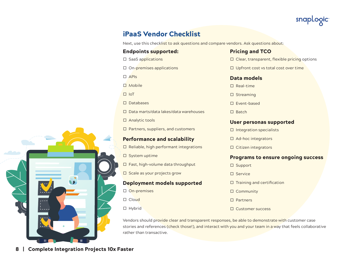

## iPaaS Vendor Checklist

Next, use this checklist to ask questions and compare vendors. Ask questions about:

#### Endpoints supported:

- $\square$  SaaS applications
- $\Box$  On-premises applications

APIs

- □ Mobile
- $\Pi$  IoT
- $\n *D*atabases\n$
- □ Data marts/data lakes/data warehouses
- □ Analytic tools
- $\square$  Partners, suppliers, and customers

#### Performance and scalability

- $\square$  Reliable, high performant integrations
- $\square$  System uptime
- $\Box$  Fast, high-volume data throughput
- $\square$  Scale as your projects grow

#### Deployment models supported

- □ On-premises
- $\Box$  Cloud
- □ Hybrid

#### Pricing and TCO

- $\square$  Clear, transparent, flexible pricing options
- $\Box$  Upfront cost vs total cost over time

#### Data models

- $\square$  Real-time
- □ Streaming
- $\Box$  Event-based
- $\Box$  Batch

#### User personas supported

- $\square$  Integration specialists
- $\Box$  Ad-hoc integrators
- $\square$  Citizen integrators

#### Programs to ensure ongoing success

- □ Support
- Service
- $\square$  Training and certification
- □ Community
- Partners
- □ Customer success

Vendors should provide clear and transparent responses, be able to demonstrate with customer case stories and references (check those!), and interact with you and your team in a way that feels collaborative rather than transactive.

8 | Complete Integration Projects 10x Faster

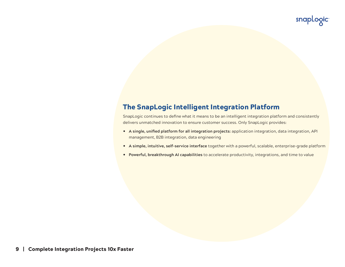# The SnapLogic Intelligent Integration Platform

SnapLogic continues to define what it means to be an intelligent integration platform and consistently delivers unmatched innovation to ensure customer success. Only SnapLogic provides:

- y **A single, unified platform for all integration projects:** application integration, data integration, API management, B2B integration, data engineering
- y **A simple, intuitive, self-service interface** together with a powerful, scalable, enterprise-grade platform
- **Powerful, breakthrough AI capabilities** to accelerate productivity, integrations, and time to value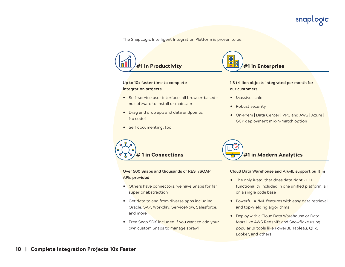snapLogic

The SnapLogic Intelligent Integration Platform is proven to be:



#### **Up to 10x faster time to complete integration projects**

- Self-service user interface, all browser-based no software to install or maintain
- Drag and drop app and data endpoints. No code!
- Self documenting, too



**1.3 trillion objects integrated per month for our customers**

- $\bullet$  Massive scale
- Robust security
- y On-Prem | Data Center | VPC and AWS | Azure | GCP deployment mix-n-match option



**Over 500 Snaps and thousands of REST/SOAP APIs provided**

- Others have connectors, we have Snaps for far superior abstraction
- Get data to and from diverse apps including Oracle, SAP, Workday, ServiceNow, Salesforce, and more
- Free Snap SDK included if you want to add your own custom Snaps to manage sprawl



#### **Cloud Data Warehouse and AI/ML support built in**

- The only iPaaS that does data right ETL functionality included in one unified platform, all on a single code base
- Powerful AI/ML features with easy data retrieval and top-yielding algorithms
- Deploy with a Cloud Data Warehouse or Data Mart like AWS Redshift and Snowflake using popular BI tools like PowerBI, Tableau, Qlik, Looker, and others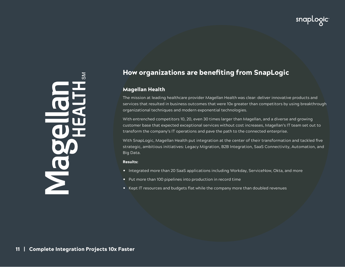JO<br>No

# How organizations are benefiting from SnapLogic

#### Magellan Health

The mission at leading healthcare provider Magellan Health was clear: deliver innovative products and services that resulted in business outcomes that were 10x greater than competitors by using breakthrough organizational techniques and modern exponential technologies.

With entrenched competitors 10, 20, even 30 times larger than Magellan, and a diverse and growing customer base that expected exceptional services without cost increases, Magellan's IT team set out to transform the company's IT operations and pave the path to the connected enterprise.

With SnapLogic, Magellan Health put integration at the center of their transformation and tackled five strategic, ambitious initiatives: Legacy Migration, B2B Integration, SaaS Connectivity, Automation, and Big Data.

#### Results:

- Integrated more than 20 SaaS applications including Workday, ServiceNow, Okta, and more
- Put more than 100 pipelines into production in record time
- Kept IT resources and budgets flat while the company more than doubled revenues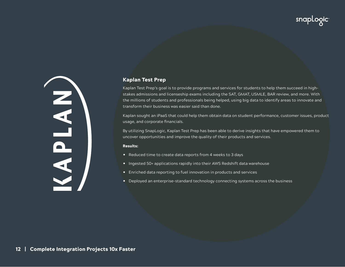KAPLAN)

#### Kaplan Test Prep

Kaplan Test Prep's goal is to provide programs and services for students to help them succeed in highstakes admissions and licenseship exams including the SAT, GMAT, USMLE, BAR review, and more. With the millions of students and professionals being helped, using big data to identify areas to innovate and transform their business was easier said than done.

Kaplan sought an iPaaS that could help them obtain data on student performance, customer issues, product usage, and corporate financials.

By utilizing SnapLogic, Kaplan Test Prep has been able to derive insights that have empowered them to uncover opportunities and improve the quality of their products and services.

#### Results:

- Reduced time to create data reports from 4 weeks to 3 days
- Ingested 50+ applications rapidly into their AWS Redshift data warehouse
- Enriched data reporting to fuel innovation in products and services
- Deployed an enterprise-standard technology connecting systems across the business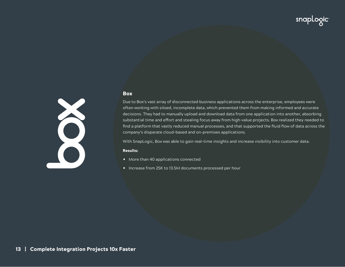#### Box



With SnapLogic, Box was able to gain real-time insights and increase visibility into customer data.

#### Results:

- More than 40 applications connected
- Increase from 25K to 13.5M documents processed per hour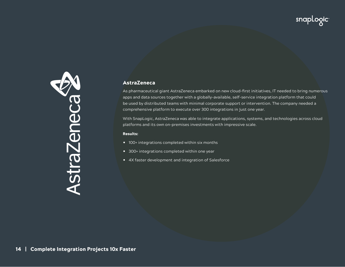

#### AstraZeneca

As pharmaceutical giant AstraZeneca embarked on new cloud-first initiatives, IT needed to bring numerous apps and data sources together with a globally-available, self-service integration platform that could be used by distributed teams with minimal corporate support or intervention. The company needed a comprehensive platform to execute over 300 integrations in just one year.

With SnapLogic, AstraZeneca was able to integrate applications, systems, and technologies across cloud platforms and its own on-premises investments with impressive scale.

#### Results:

- 100+ integrations completed within six months
- 300+ integrations completed within one year
- 4X faster development and integration of Salesforce